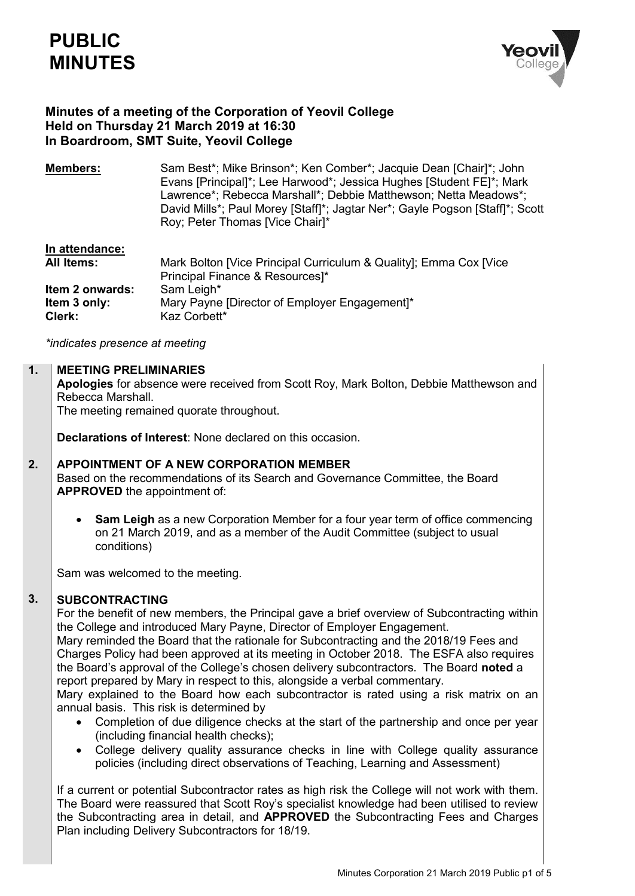

# **Minutes of a meeting of the Corporation of Yeovil College Held on Thursday 21 March 2019 at 16:30 In Boardroom, SMT Suite, Yeovil College**

**Members:** Sam Best<sup>\*</sup>; Mike Brinson<sup>\*</sup>; Ken Comber<sup>\*</sup>; Jacquie Dean [Chair]<sup>\*</sup>; John Evans [Principal]\*; Lee Harwood\*; Jessica Hughes [Student FE]\*; Mark Lawrence\*; Rebecca Marshall\*; Debbie Matthewson; Netta Meadows\*; David Mills\*; Paul Morey [Staff]\*; Jagtar Ner\*; Gayle Pogson [Staff]\*; Scott Roy; Peter Thomas [Vice Chair]\*

## **In attendance: All Items:** Mark Bolton [Vice Principal Curriculum & Quality]; Emma Cox [Vice Principal Finance & Resources]\* **Item 2 onwards:** Sam Leigh\* **Item 3 only:** Mary Payne [Director of Employer Engagement]\* **Clerk:** Kaz Corbett\*

*\*indicates presence at meeting*

#### **1. MEETING PRELIMINARIES**

**Apologies** for absence were received from Scott Roy, Mark Bolton, Debbie Matthewson and Rebecca Marshall. The meeting remained quorate throughout.

**Declarations of Interest**: None declared on this occasion.

#### **2. APPOINTMENT OF A NEW CORPORATION MEMBER**

Based on the recommendations of its Search and Governance Committee, the Board **APPROVED** the appointment of:

 **Sam Leigh** as a new Corporation Member for a four year term of office commencing on 21 March 2019, and as a member of the Audit Committee (subject to usual conditions)

Sam was welcomed to the meeting.

### **3. SUBCONTRACTING**

For the benefit of new members, the Principal gave a brief overview of Subcontracting within the College and introduced Mary Payne, Director of Employer Engagement.

Mary reminded the Board that the rationale for Subcontracting and the 2018/19 Fees and Charges Policy had been approved at its meeting in October 2018. The ESFA also requires the Board's approval of the College's chosen delivery subcontractors. The Board **noted** a report prepared by Mary in respect to this, alongside a verbal commentary.

Mary explained to the Board how each subcontractor is rated using a risk matrix on an annual basis. This risk is determined by

- Completion of due diligence checks at the start of the partnership and once per year (including financial health checks);
- College delivery quality assurance checks in line with College quality assurance policies (including direct observations of Teaching, Learning and Assessment)

If a current or potential Subcontractor rates as high risk the College will not work with them. The Board were reassured that Scott Roy's specialist knowledge had been utilised to review the Subcontracting area in detail, and **APPROVED** the Subcontracting Fees and Charges Plan including Delivery Subcontractors for 18/19.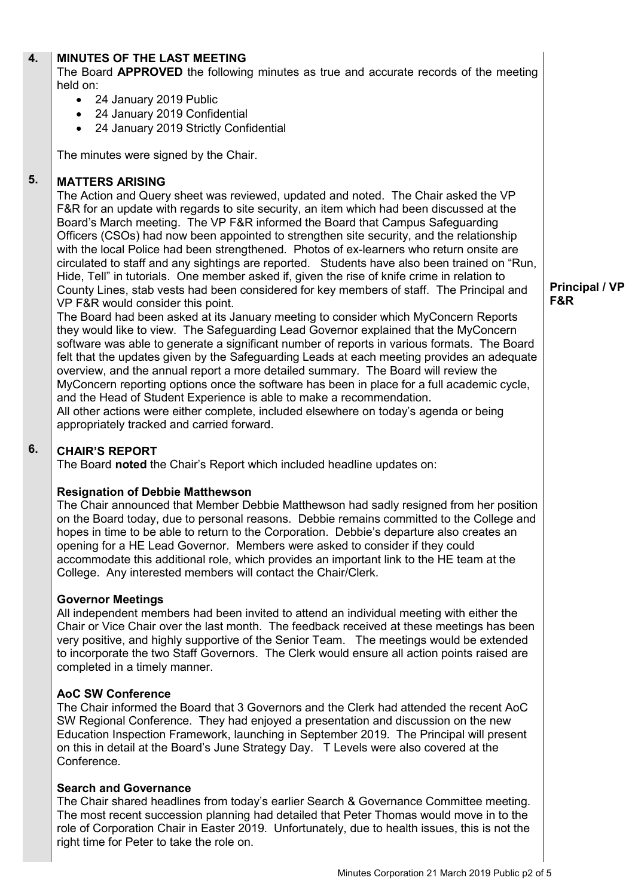#### **4. MINUTES OF THE LAST MEETING**

The Board **APPROVED** the following minutes as true and accurate records of the meeting held on:

- 24 January 2019 Public
- 24 January 2019 Confidential
- 24 January 2019 Strictly Confidential

The minutes were signed by the Chair.

### **5. MATTERS ARISING**

The Action and Query sheet was reviewed, updated and noted. The Chair asked the VP F&R for an update with regards to site security, an item which had been discussed at the Board's March meeting. The VP F&R informed the Board that Campus Safeguarding Officers (CSOs) had now been appointed to strengthen site security, and the relationship with the local Police had been strengthened. Photos of ex-learners who return onsite are circulated to staff and any sightings are reported. Students have also been trained on "Run, Hide, Tell" in tutorials. One member asked if, given the rise of knife crime in relation to County Lines, stab vests had been considered for key members of staff. The Principal and VP F&R would consider this point.

The Board had been asked at its January meeting to consider which MyConcern Reports they would like to view. The Safeguarding Lead Governor explained that the MyConcern software was able to generate a significant number of reports in various formats. The Board felt that the updates given by the Safeguarding Leads at each meeting provides an adequate overview, and the annual report a more detailed summary. The Board will review the MyConcern reporting options once the software has been in place for a full academic cycle, and the Head of Student Experience is able to make a recommendation. All other actions were either complete, included elsewhere on today's agenda or being appropriately tracked and carried forward.

### **6. CHAIR'S REPORT**

The Board **noted** the Chair's Report which included headline updates on:

## **Resignation of Debbie Matthewson**

The Chair announced that Member Debbie Matthewson had sadly resigned from her position on the Board today, due to personal reasons. Debbie remains committed to the College and hopes in time to be able to return to the Corporation. Debbie's departure also creates an opening for a HE Lead Governor. Members were asked to consider if they could accommodate this additional role, which provides an important link to the HE team at the College. Any interested members will contact the Chair/Clerk.

## **Governor Meetings**

All independent members had been invited to attend an individual meeting with either the Chair or Vice Chair over the last month. The feedback received at these meetings has been very positive, and highly supportive of the Senior Team. The meetings would be extended to incorporate the two Staff Governors. The Clerk would ensure all action points raised are completed in a timely manner.

## **AoC SW Conference**

The Chair informed the Board that 3 Governors and the Clerk had attended the recent AoC SW Regional Conference. They had enjoyed a presentation and discussion on the new Education Inspection Framework, launching in September 2019. The Principal will present on this in detail at the Board's June Strategy Day. T Levels were also covered at the Conference.

## **Search and Governance**

The Chair shared headlines from today's earlier Search & Governance Committee meeting. The most recent succession planning had detailed that Peter Thomas would move in to the role of Corporation Chair in Easter 2019. Unfortunately, due to health issues, this is not the right time for Peter to take the role on.

**Principal / VP F&R**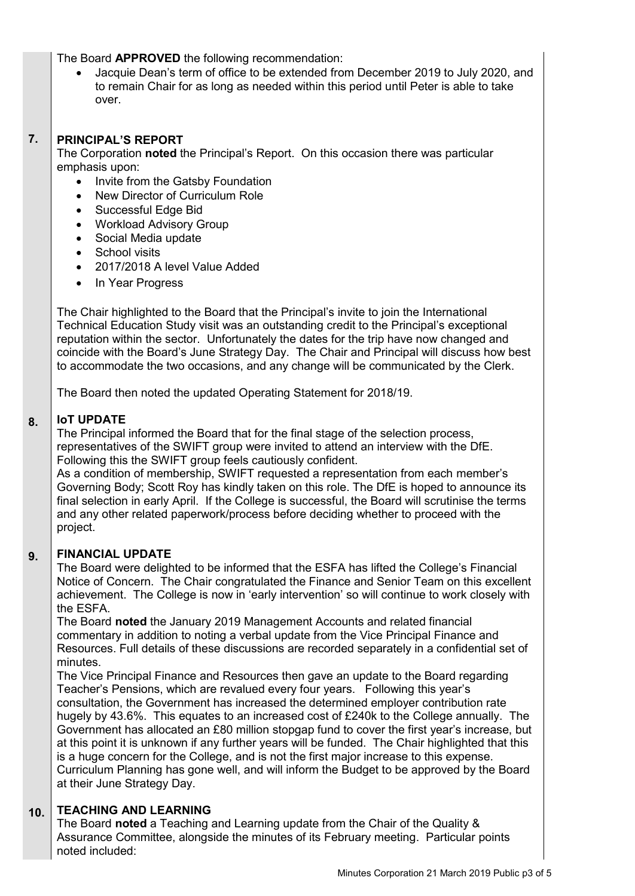The Board **APPROVED** the following recommendation:

 Jacquie Dean's term of office to be extended from December 2019 to July 2020, and to remain Chair for as long as needed within this period until Peter is able to take over.

### **7. PRINCIPAL'S REPORT**

The Corporation **noted** the Principal's Report. On this occasion there was particular emphasis upon:

- Invite from the Gatsby Foundation
- New Director of Curriculum Role
- Successful Edge Bid
- Workload Advisory Group
- Social Media update
- School visits
- 2017/2018 A level Value Added
- In Year Progress

The Chair highlighted to the Board that the Principal's invite to join the International Technical Education Study visit was an outstanding credit to the Principal's exceptional reputation within the sector. Unfortunately the dates for the trip have now changed and coincide with the Board's June Strategy Day. The Chair and Principal will discuss how best to accommodate the two occasions, and any change will be communicated by the Clerk.

The Board then noted the updated Operating Statement for 2018/19.

#### **8. IoT UPDATE**

The Principal informed the Board that for the final stage of the selection process, representatives of the SWIFT group were invited to attend an interview with the DfE. Following this the SWIFT group feels cautiously confident.

As a condition of membership, SWIFT requested a representation from each member's Governing Body; Scott Roy has kindly taken on this role. The DfE is hoped to announce its final selection in early April. If the College is successful, the Board will scrutinise the terms and any other related paperwork/process before deciding whether to proceed with the project.

### **9. FINANCIAL UPDATE**

The Board were delighted to be informed that the ESFA has lifted the College's Financial Notice of Concern. The Chair congratulated the Finance and Senior Team on this excellent achievement. The College is now in 'early intervention' so will continue to work closely with the ESFA.

The Board **noted** the January 2019 Management Accounts and related financial commentary in addition to noting a verbal update from the Vice Principal Finance and Resources. Full details of these discussions are recorded separately in a confidential set of minutes.

The Vice Principal Finance and Resources then gave an update to the Board regarding Teacher's Pensions, which are revalued every four years. Following this year's consultation, the Government has increased the determined employer contribution rate hugely by 43.6%. This equates to an increased cost of £240k to the College annually. The Government has allocated an £80 million stopgap fund to cover the first year's increase, but at this point it is unknown if any further years will be funded. The Chair highlighted that this is a huge concern for the College, and is not the first major increase to this expense. Curriculum Planning has gone well, and will inform the Budget to be approved by the Board at their June Strategy Day.

#### **10. TEACHING AND LEARNING**

The Board **noted** a Teaching and Learning update from the Chair of the Quality & Assurance Committee, alongside the minutes of its February meeting. Particular points noted included: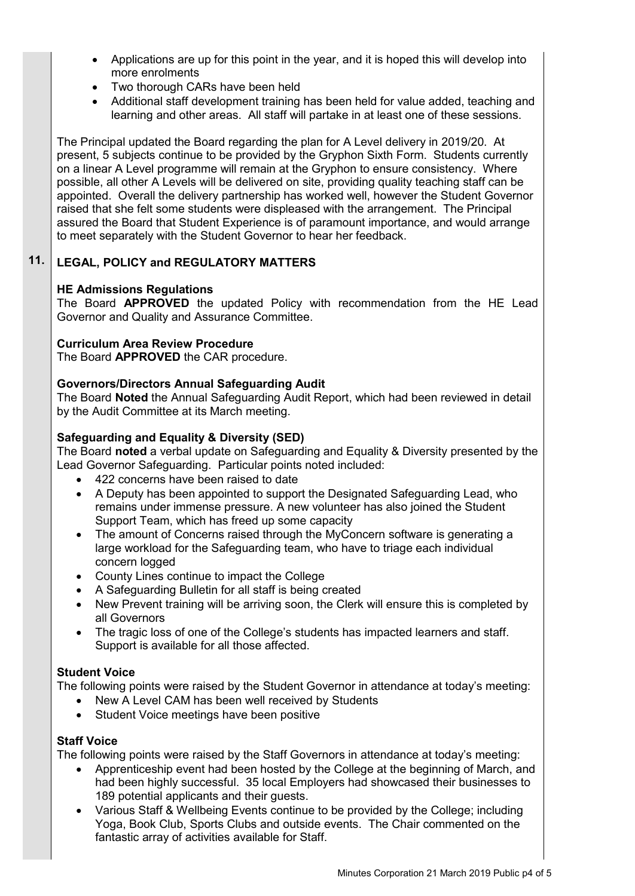- Applications are up for this point in the year, and it is hoped this will develop into more enrolments
- Two thorough CARs have been held
- Additional staff development training has been held for value added, teaching and learning and other areas. All staff will partake in at least one of these sessions.

The Principal updated the Board regarding the plan for A Level delivery in 2019/20. At present, 5 subjects continue to be provided by the Gryphon Sixth Form. Students currently on a linear A Level programme will remain at the Gryphon to ensure consistency. Where possible, all other A Levels will be delivered on site, providing quality teaching staff can be appointed. Overall the delivery partnership has worked well, however the Student Governor raised that she felt some students were displeased with the arrangement. The Principal assured the Board that Student Experience is of paramount importance, and would arrange to meet separately with the Student Governor to hear her feedback.

### **11. LEGAL, POLICY and REGULATORY MATTERS**

# **HE Admissions Regulations**

The Board **APPROVED** the updated Policy with recommendation from the HE Lead Governor and Quality and Assurance Committee.

# **Curriculum Area Review Procedure**

The Board **APPROVED** the CAR procedure.

# **Governors/Directors Annual Safeguarding Audit**

The Board **Noted** the Annual Safeguarding Audit Report, which had been reviewed in detail by the Audit Committee at its March meeting.

# **Safeguarding and Equality & Diversity (SED)**

The Board **noted** a verbal update on Safeguarding and Equality & Diversity presented by the Lead Governor Safeguarding. Particular points noted included:

- 422 concerns have been raised to date
- A Deputy has been appointed to support the Designated Safeguarding Lead, who remains under immense pressure. A new volunteer has also joined the Student Support Team, which has freed up some capacity
- The amount of Concerns raised through the MyConcern software is generating a large workload for the Safeguarding team, who have to triage each individual concern logged
- County Lines continue to impact the College
- A Safeguarding Bulletin for all staff is being created
- New Prevent training will be arriving soon, the Clerk will ensure this is completed by all Governors
- The tragic loss of one of the College's students has impacted learners and staff. Support is available for all those affected.

## **Student Voice**

The following points were raised by the Student Governor in attendance at today's meeting:

- New A Level CAM has been well received by Students
- Student Voice meetings have been positive

# **Staff Voice**

The following points were raised by the Staff Governors in attendance at today's meeting:

- Apprenticeship event had been hosted by the College at the beginning of March, and had been highly successful. 35 local Employers had showcased their businesses to 189 potential applicants and their guests.
- Various Staff & Wellbeing Events continue to be provided by the College; including Yoga, Book Club, Sports Clubs and outside events. The Chair commented on the fantastic array of activities available for Staff.